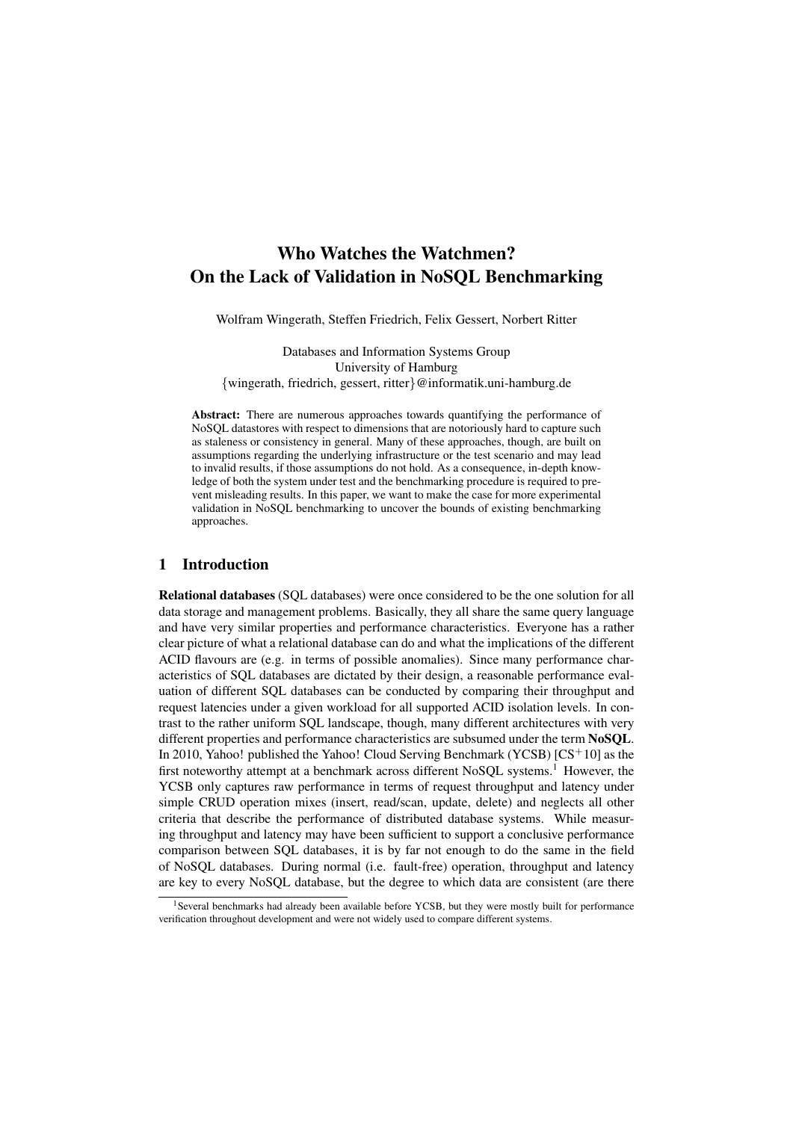# Who Watches the Watchmen? On the Lack of Validation in NoSQL Benchmarking

Wolfram Wingerath, Steffen Friedrich, Felix Gessert, Norbert Ritter

Databases and Information Systems Group University of Hamburg {wingerath, friedrich, gessert, ritter}@informatik.uni-hamburg.de

Abstract: There are numerous approaches towards quantifying the performance of NoSQL datastores with respect to dimensions that are notoriously hard to capture such as staleness or consistency in general. Many of these approaches, though, are built on assumptions regarding the underlying infrastructure or the test scenario and may lead to invalid results, if those assumptions do not hold. As a consequence, in-depth knowledge of both the system under test and the benchmarking procedure is required to prevent misleading results. In this paper, we want to make the case for more experimental validation in NoSQL benchmarking to uncover the bounds of existing benchmarking approaches.

# 1 Introduction

Relational databases (SQL databases) were once considered to be the one solution for all data storage and management problems. Basically, they all share the same query language and have very similar properties and performance characteristics. Everyone has a rather clear picture of what a relational database can do and what the implications of the different ACID flavours are (e.g. in terms of possible anomalies). Since many performance characteristics of SQL databases are dictated by their design, a reasonable performance evaluation of different SQL databases can be conducted by comparing their throughput and request latencies under a given workload for all supported ACID isolation levels. In contrast to the rather uniform SQL landscape, though, many different architectures with very different properties and performance characteristics are subsumed under the term NoSQL. In 2010, Yahoo! published the Yahoo! Cloud Serving Benchmark (YCSB) [CS<sup>+</sup>10] as the first noteworthy attempt at a benchmark across different NoSQL systems.<sup>1</sup> However, the YCSB only captures raw performance in terms of request throughput and latency under simple CRUD operation mixes (insert, read/scan, update, delete) and neglects all other criteria that describe the performance of distributed database systems. While measuring throughput and latency may have been sufficient to support a conclusive performance comparison between SQL databases, it is by far not enough to do the same in the field of NoSQL databases. During normal (i.e. fault-free) operation, throughput and latency are key to every NoSQL database, but the degree to which data are consistent (are there

<sup>&</sup>lt;sup>1</sup>Several benchmarks had already been available before YCSB, but they were mostly built for performance verification throughout development and were not widely used to compare different systems.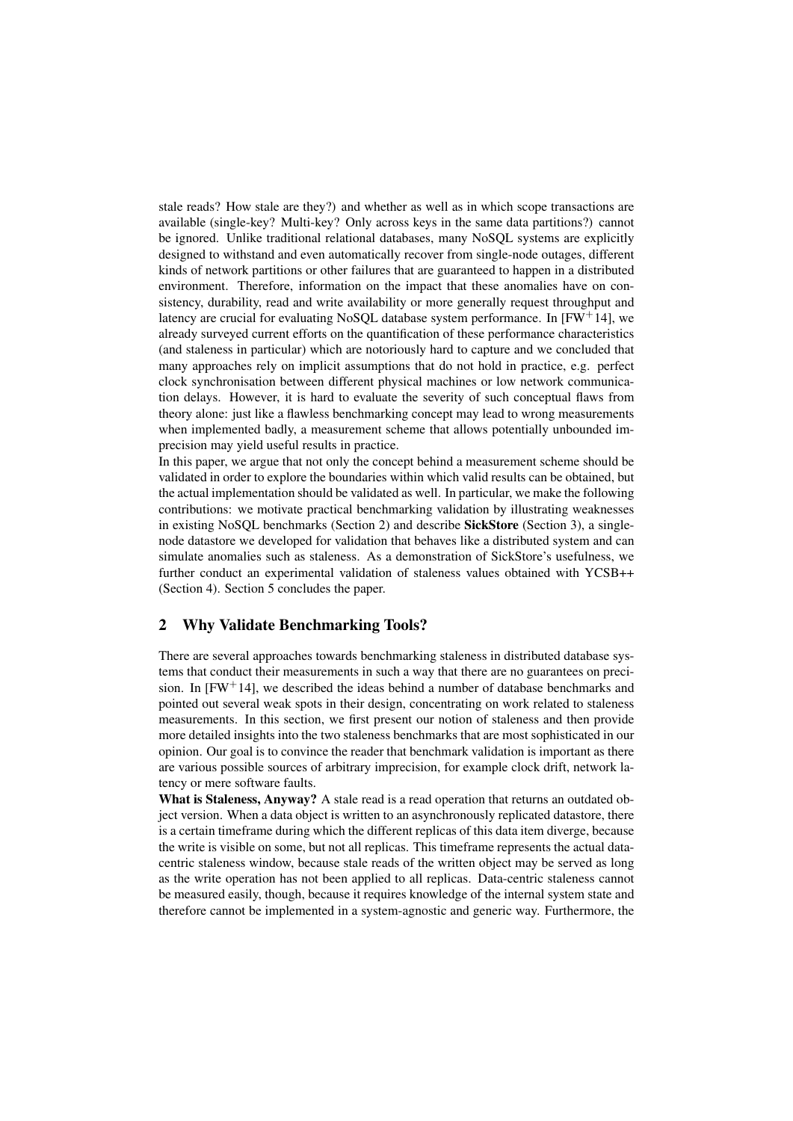stale reads? How stale are they?) and whether as well as in which scope transactions are available (single-key? Multi-key? Only across keys in the same data partitions?) cannot be ignored. Unlike traditional relational databases, many NoSQL systems are explicitly designed to withstand and even automatically recover from single-node outages, different kinds of network partitions or other failures that are guaranteed to happen in a distributed environment. Therefore, information on the impact that these anomalies have on consistency, durability, read and write availability or more generally request throughput and latency are crucial for evaluating NoSOL database system performance. In  $[FW+14]$ , we already surveyed current efforts on the quantification of these performance characteristics (and staleness in particular) which are notoriously hard to capture and we concluded that many approaches rely on implicit assumptions that do not hold in practice, e.g. perfect clock synchronisation between different physical machines or low network communication delays. However, it is hard to evaluate the severity of such conceptual flaws from theory alone: just like a flawless benchmarking concept may lead to wrong measurements when implemented badly, a measurement scheme that allows potentially unbounded imprecision may yield useful results in practice.

In this paper, we argue that not only the concept behind a measurement scheme should be validated in order to explore the boundaries within which valid results can be obtained, but the actual implementation should be validated as well. In particular, we make the following contributions: we motivate practical benchmarking validation by illustrating weaknesses in existing NoSQL benchmarks (Section 2) and describe SickStore (Section 3), a singlenode datastore we developed for validation that behaves like a distributed system and can simulate anomalies such as staleness. As a demonstration of SickStore's usefulness, we further conduct an experimental validation of staleness values obtained with YCSB++ (Section 4). Section 5 concludes the paper.

# 2 Why Validate Benchmarking Tools?

There are several approaches towards benchmarking staleness in distributed database systems that conduct their measurements in such a way that there are no guarantees on precision. In  $[FW^+14]$ , we described the ideas behind a number of database benchmarks and pointed out several weak spots in their design, concentrating on work related to staleness measurements. In this section, we first present our notion of staleness and then provide more detailed insights into the two staleness benchmarks that are most sophisticated in our opinion. Our goal is to convince the reader that benchmark validation is important as there are various possible sources of arbitrary imprecision, for example clock drift, network latency or mere software faults.

What is Staleness, Anyway? A stale read is a read operation that returns an outdated object version. When a data object is written to an asynchronously replicated datastore, there is a certain timeframe during which the different replicas of this data item diverge, because the write is visible on some, but not all replicas. This timeframe represents the actual datacentric staleness window, because stale reads of the written object may be served as long as the write operation has not been applied to all replicas. Data-centric staleness cannot be measured easily, though, because it requires knowledge of the internal system state and therefore cannot be implemented in a system-agnostic and generic way. Furthermore, the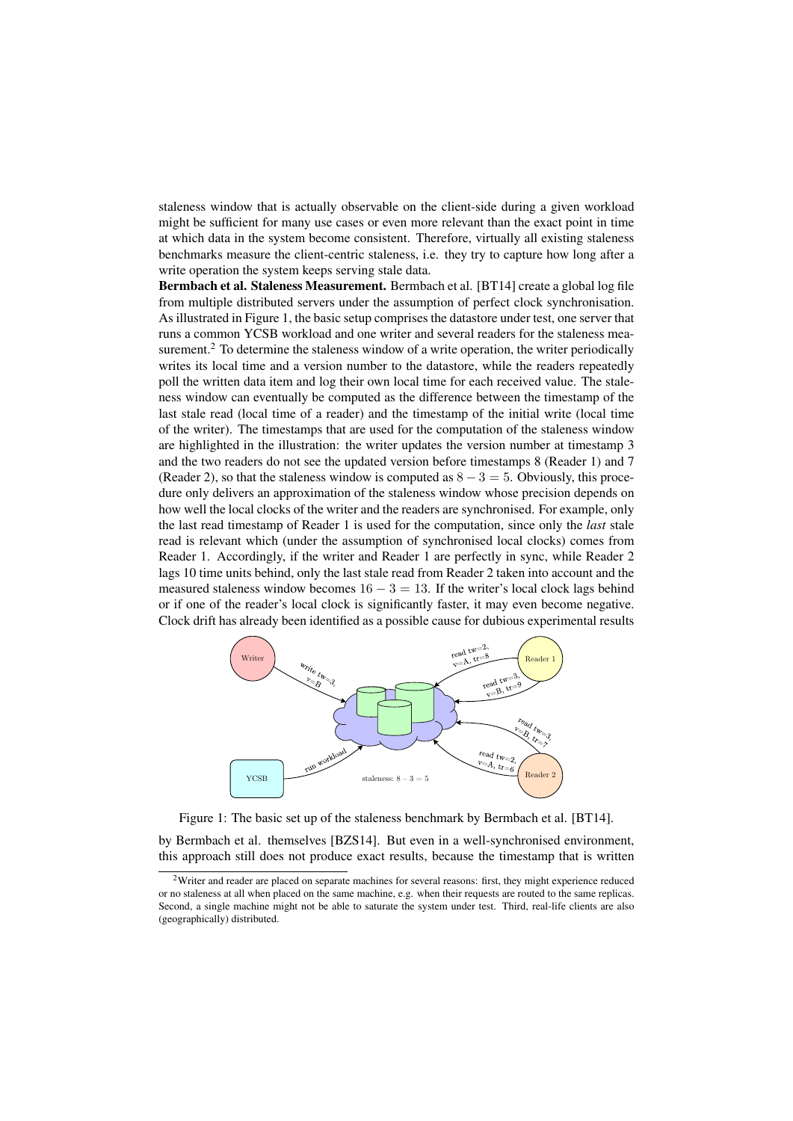staleness window that is actually observable on the client-side during a given workload might be sufficient for many use cases or even more relevant than the exact point in time at which data in the system become consistent. Therefore, virtually all existing staleness benchmarks measure the client-centric staleness, i.e. they try to capture how long after a write operation the system keeps serving stale data.

Bermbach et al. Staleness Measurement. Bermbach et al. [BT14] create a global log file from multiple distributed servers under the assumption of perfect clock synchronisation. As illustrated in Figure 1, the basic setup comprises the datastore under test, one server that runs a common YCSB workload and one writer and several readers for the staleness measurement.<sup>2</sup> To determine the staleness window of a write operation, the writer periodically writes its local time and a version number to the datastore, while the readers repeatedly poll the written data item and log their own local time for each received value. The staleness window can eventually be computed as the difference between the timestamp of the last stale read (local time of a reader) and the timestamp of the initial write (local time of the writer). The timestamps that are used for the computation of the staleness window are highlighted in the illustration: the writer updates the version number at timestamp 3 and the two readers do not see the updated version before timestamps 8 (Reader 1) and 7 (Reader 2), so that the staleness window is computed as  $8 - 3 = 5$ . Obviously, this procedure only delivers an approximation of the staleness window whose precision depends on how well the local clocks of the writer and the readers are synchronised. For example, only the last read timestamp of Reader 1 is used for the computation, since only the *last* stale read is relevant which (under the assumption of synchronised local clocks) comes from Reader 1. Accordingly, if the writer and Reader 1 are perfectly in sync, while Reader 2 lags 10 time units behind, only the last stale read from Reader 2 taken into account and the measured staleness window becomes  $16 - 3 = 13$ . If the writer's local clock lags behind or if one of the reader's local clock is significantly faster, it may even become negative. Clock drift has already been identified as a possible cause for dubious experimental results



Figure 1: The basic set up of the staleness benchmark by Bermbach et al. [BT14].

by Bermbach et al. themselves [BZS14]. But even in a well-synchronised environment, this approach still does not produce exact results, because the timestamp that is written

 $2$ Writer and reader are placed on separate machines for several reasons: first, they might experience reduced or no staleness at all when placed on the same machine, e.g. when their requests are routed to the same replicas. Second, a single machine might not be able to saturate the system under test. Third, real-life clients are also (geographically) distributed.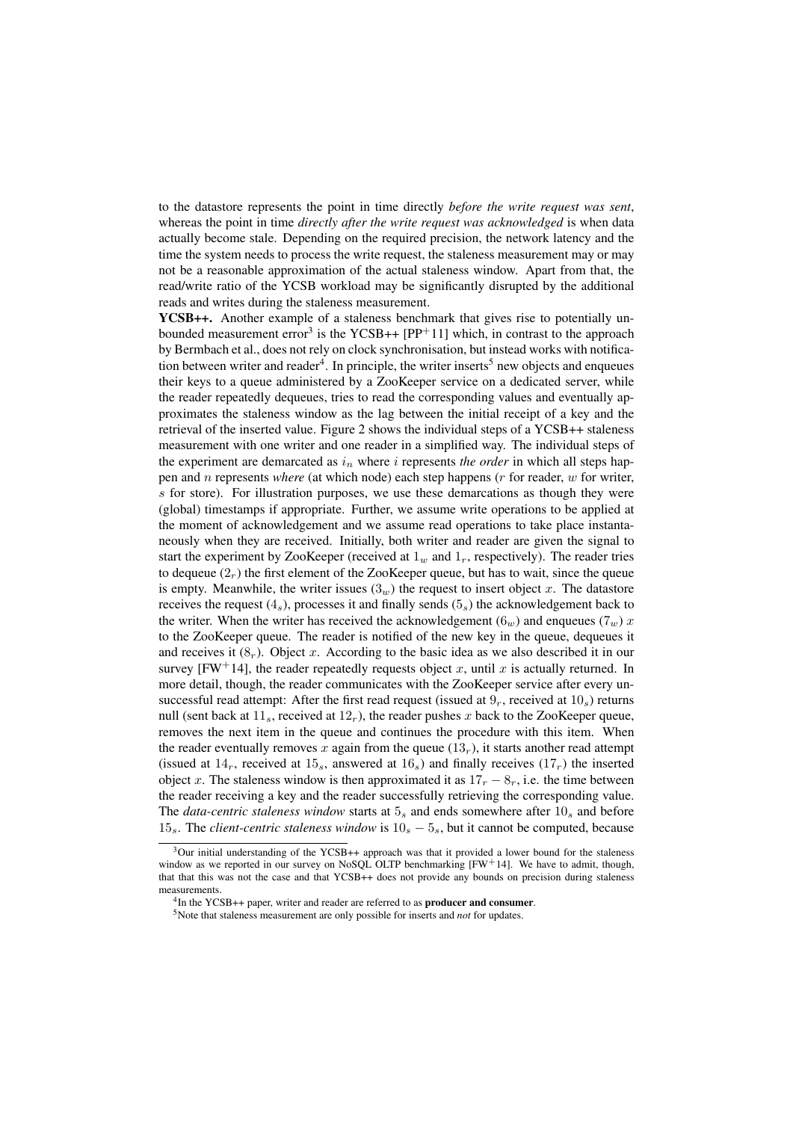to the datastore represents the point in time directly *before the write request was sent*, whereas the point in time *directly after the write request was acknowledged* is when data actually become stale. Depending on the required precision, the network latency and the time the system needs to process the write request, the staleness measurement may or may not be a reasonable approximation of the actual staleness window. Apart from that, the read/write ratio of the YCSB workload may be significantly disrupted by the additional reads and writes during the staleness measurement.

YCSB++. Another example of a staleness benchmark that gives rise to potentially unbounded measurement error<sup>3</sup> is the YCSB++  $[PP+11]$  which, in contrast to the approach by Bermbach et al., does not rely on clock synchronisation, but instead works with notification between writer and reader<sup>4</sup>. In principle, the writer inserts<sup>5</sup> new objects and enqueues their keys to a queue administered by a ZooKeeper service on a dedicated server, while the reader repeatedly dequeues, tries to read the corresponding values and eventually approximates the staleness window as the lag between the initial receipt of a key and the retrieval of the inserted value. Figure 2 shows the individual steps of a YCSB++ staleness measurement with one writer and one reader in a simplified way. The individual steps of the experiment are demarcated as  $i_n$  where i represents *the order* in which all steps happen and n represents *where* (at which node) each step happens (r for reader, w for writer, s for store). For illustration purposes, we use these demarcations as though they were (global) timestamps if appropriate. Further, we assume write operations to be applied at the moment of acknowledgement and we assume read operations to take place instantaneously when they are received. Initially, both writer and reader are given the signal to start the experiment by ZooKeeper (received at  $1_w$  and  $1_r$ , respectively). The reader tries to dequeue  $(2<sub>r</sub>)$  the first element of the ZooKeeper queue, but has to wait, since the queue is empty. Meanwhile, the writer issues  $(3<sub>w</sub>)$  the request to insert object x. The datastore receives the request  $(4<sub>s</sub>)$ , processes it and finally sends  $(5<sub>s</sub>)$  the acknowledgement back to the writer. When the writer has received the acknowledgement  $(6<sub>w</sub>)$  and enqueues  $(7<sub>w</sub>)$  x to the ZooKeeper queue. The reader is notified of the new key in the queue, dequeues it and receives it  $(8<sub>r</sub>)$ . Object x. According to the basic idea as we also described it in our survey [FW<sup>+</sup>14], the reader repeatedly requests object x, until x is actually returned. In more detail, though, the reader communicates with the ZooKeeper service after every unsuccessful read attempt: After the first read request (issued at  $9<sub>r</sub>$ , received at  $10<sub>s</sub>$ ) returns null (sent back at  $11_s$ , received at  $12<sub>r</sub>$ ), the reader pushes x back to the ZooKeeper queue, removes the next item in the queue and continues the procedure with this item. When the reader eventually removes x again from the queue  $(13<sub>r</sub>)$ , it starts another read attempt (issued at  $14_r$ , received at  $15_s$ , answered at  $16_s$ ) and finally receives  $(17_r)$  the inserted object x. The staleness window is then approximated it as  $17<sub>r</sub> - 8<sub>r</sub>$ , i.e. the time between the reader receiving a key and the reader successfully retrieving the corresponding value. The *data-centric staleness window* starts at  $5<sub>s</sub>$  and ends somewhere after  $10<sub>s</sub>$  and before  $15_s$ . The *client-centric staleness window* is  $10_s - 5_s$ , but it cannot be computed, because

 $3$ Our initial understanding of the YCSB++ approach was that it provided a lower bound for the staleness window as we reported in our survey on NoSQL OLTP benchmarking [FW+14]. We have to admit, though, that that this was not the case and that YCSB++ does not provide any bounds on precision during staleness measurements.

 ${}^{4}$ In the YCSB++ paper, writer and reader are referred to as **producer and consumer**.

<sup>5</sup>Note that staleness measurement are only possible for inserts and *not* for updates.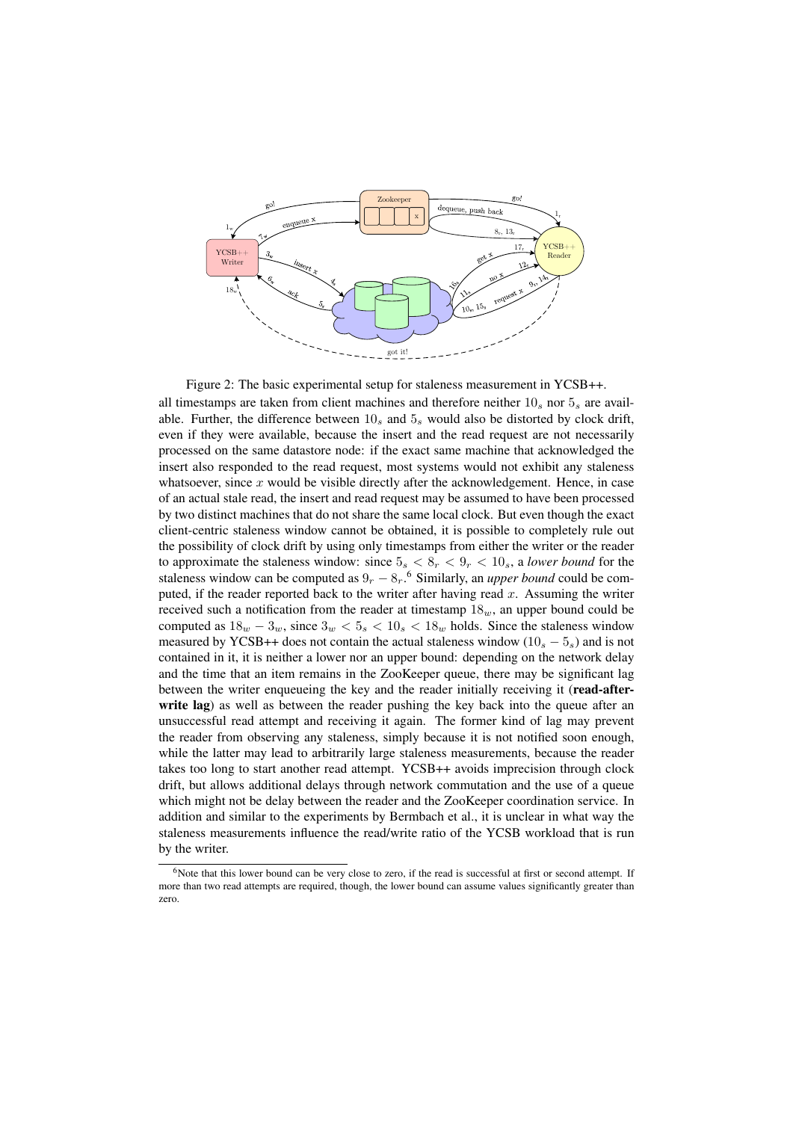

Figure 2: The basic experimental setup for staleness measurement in YCSB++. all timestamps are taken from client machines and therefore neither  $10_s$  nor  $5_s$  are available. Further, the difference between  $10<sub>s</sub>$  and  $5<sub>s</sub>$  would also be distorted by clock drift, even if they were available, because the insert and the read request are not necessarily processed on the same datastore node: if the exact same machine that acknowledged the insert also responded to the read request, most systems would not exhibit any staleness whatsoever, since  $x$  would be visible directly after the acknowledgement. Hence, in case of an actual stale read, the insert and read request may be assumed to have been processed by two distinct machines that do not share the same local clock. But even though the exact client-centric staleness window cannot be obtained, it is possible to completely rule out the possibility of clock drift by using only timestamps from either the writer or the reader to approximate the staleness window: since  $5_s < 8_r < 9_r < 10_s$ , a *lower bound* for the staleness window can be computed as  $9_r - 8_r$ .<sup>6</sup> Similarly, an *upper bound* could be computed, if the reader reported back to the writer after having read  $x$ . Assuming the writer received such a notification from the reader at timestamp  $18<sub>w</sub>$ , an upper bound could be computed as  $18_w - 3_w$ , since  $3_w < 5_s < 10_s < 18_w$  holds. Since the staleness window measured by YCSB++ does not contain the actual staleness window  $(10<sub>s</sub> - 5<sub>s</sub>)$  and is not contained in it, it is neither a lower nor an upper bound: depending on the network delay and the time that an item remains in the ZooKeeper queue, there may be significant lag between the writer enqueueing the key and the reader initially receiving it (read-afterwrite lag) as well as between the reader pushing the key back into the queue after an unsuccessful read attempt and receiving it again. The former kind of lag may prevent the reader from observing any staleness, simply because it is not notified soon enough, while the latter may lead to arbitrarily large staleness measurements, because the reader takes too long to start another read attempt. YCSB++ avoids imprecision through clock drift, but allows additional delays through network commutation and the use of a queue which might not be delay between the reader and the ZooKeeper coordination service. In addition and similar to the experiments by Bermbach et al., it is unclear in what way the staleness measurements influence the read/write ratio of the YCSB workload that is run by the writer. <sup>6</sup>Note that this lower bound can be very close to zero, if the read is successful at first or second attempt. If more than two read attempts are required, though, the lower bound can assume values significantly greater than

zero.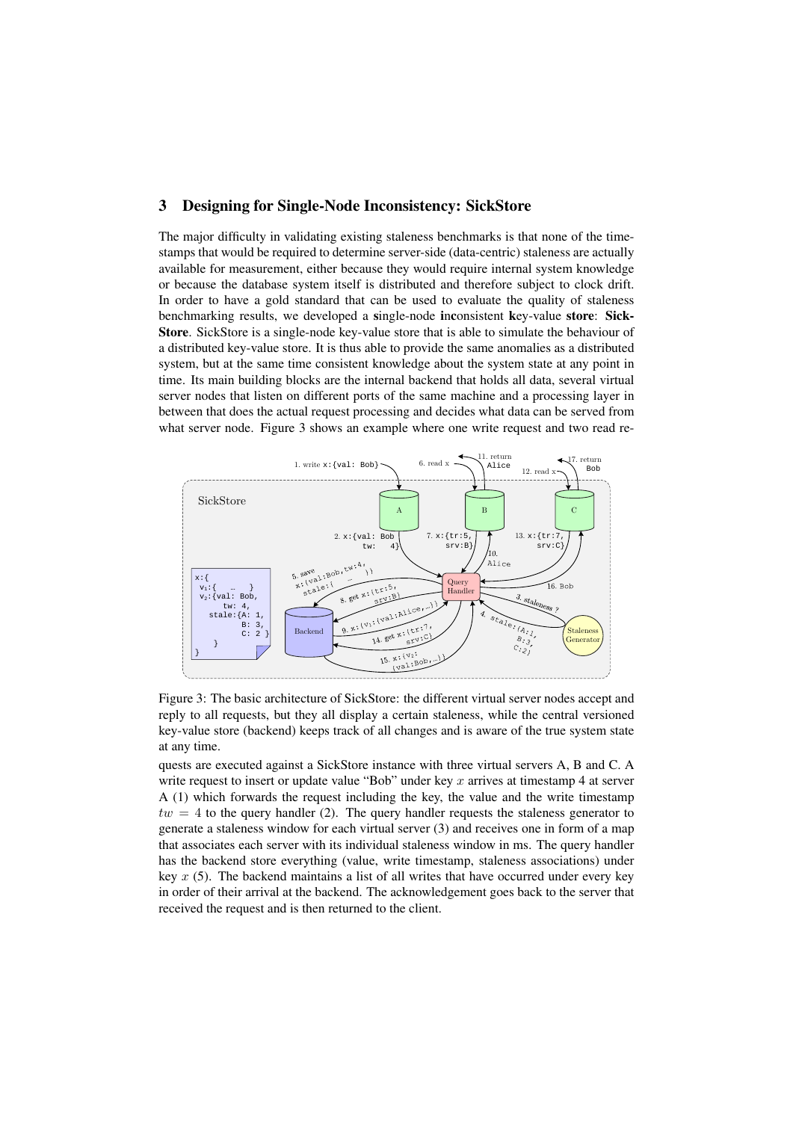#### 3 Designing for Single-Node Inconsistency: SickStore

The major difficulty in validating existing staleness benchmarks is that none of the timestamps that would be required to determine server-side (data-centric) staleness are actually available for measurement, either because they would require internal system knowledge or because the database system itself is distributed and therefore subject to clock drift. In order to have a gold standard that can be used to evaluate the quality of staleness benchmarking results, we developed a single-node inconsistent key-value store: Sick-Store. SickStore is a single-node key-value store that is able to simulate the behaviour of a distributed key-value store. It is thus able to provide the same anomalies as a distributed system, but at the same time consistent knowledge about the system state at any point in time. Its main building blocks are the internal backend that holds all data, several virtual server nodes that listen on different ports of the same machine and a processing layer in between that does the actual request processing and decides what data can be served from what server node. Figure 3 shows an example where one write request and two read re-



Figure 3: The basic architecture of SickStore: the different virtual server nodes accept and reply to all requests, but they all display a certain staleness, while the central versioned key-value store (backend) keeps track of all changes and is aware of the true system state at any time.

quests are executed against a SickStore instance with three virtual servers A, B and C. A write request to insert or update value "Bob" under key x arrives at timestamp 4 at server A (1) which forwards the request including the key, the value and the write timestamp  $tw = 4$  to the query handler (2). The query handler requests the staleness generator to generate a staleness window for each virtual server (3) and receives one in form of a map that associates each server with its individual staleness window in ms. The query handler has the backend store everything (value, write timestamp, staleness associations) under key  $x$  (5). The backend maintains a list of all writes that have occurred under every key in order of their arrival at the backend. The acknowledgement goes back to the server that received the request and is then returned to the client.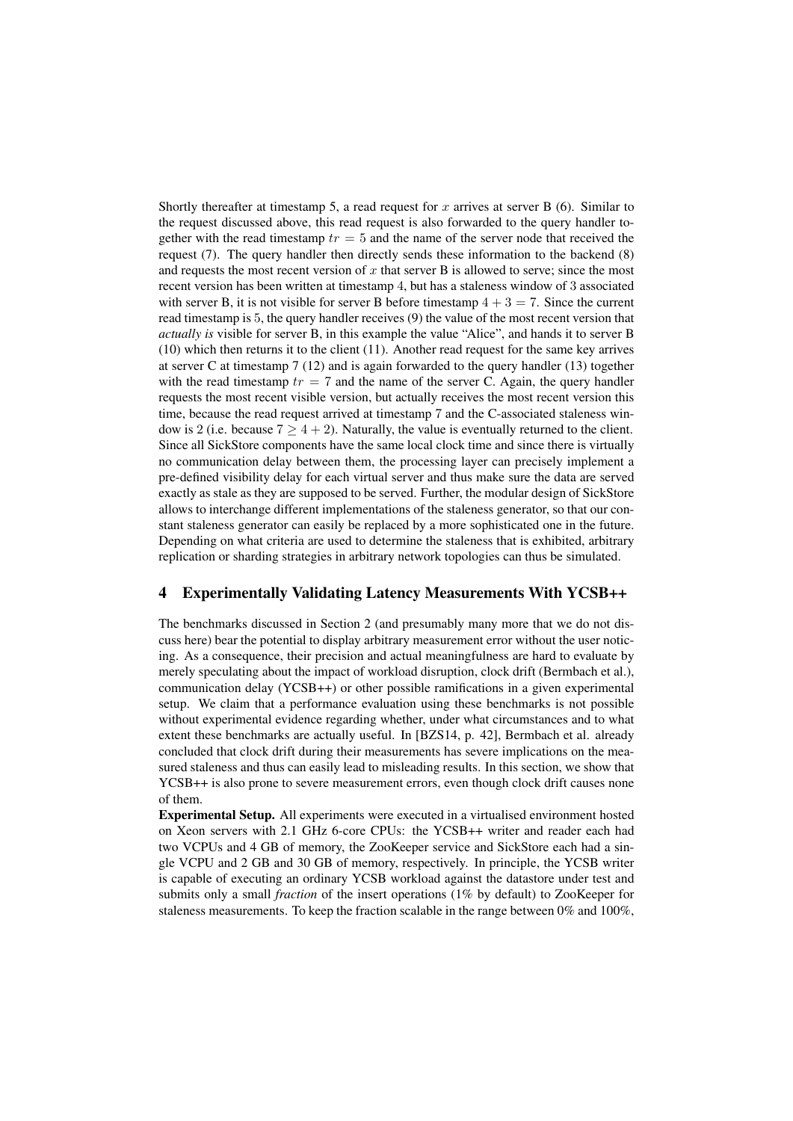Shortly thereafter at timestamp 5, a read request for x arrives at server B  $(6)$ . Similar to the request discussed above, this read request is also forwarded to the query handler together with the read timestamp  $tr = 5$  and the name of the server node that received the request (7). The query handler then directly sends these information to the backend (8) and requests the most recent version of  $x$  that server  $B$  is allowed to serve; since the most recent version has been written at timestamp 4, but has a staleness window of 3 associated with server B, it is not visible for server B before timestamp  $4 + 3 = 7$ . Since the current read timestamp is 5, the query handler receives (9) the value of the most recent version that *actually is* visible for server B, in this example the value "Alice", and hands it to server B (10) which then returns it to the client (11). Another read request for the same key arrives at server C at timestamp  $7(12)$  and is again forwarded to the query handler (13) together with the read timestamp  $tr = 7$  and the name of the server C. Again, the query handler requests the most recent visible version, but actually receives the most recent version this time, because the read request arrived at timestamp 7 and the C-associated staleness window is 2 (i.e. because  $7 \geq 4 + 2$ ). Naturally, the value is eventually returned to the client. Since all SickStore components have the same local clock time and since there is virtually no communication delay between them, the processing layer can precisely implement a pre-defined visibility delay for each virtual server and thus make sure the data are served exactly as stale as they are supposed to be served. Further, the modular design of SickStore allows to interchange different implementations of the staleness generator, so that our constant staleness generator can easily be replaced by a more sophisticated one in the future. Depending on what criteria are used to determine the staleness that is exhibited, arbitrary replication or sharding strategies in arbitrary network topologies can thus be simulated.

# 4 Experimentally Validating Latency Measurements With YCSB++

The benchmarks discussed in Section 2 (and presumably many more that we do not discuss here) bear the potential to display arbitrary measurement error without the user noticing. As a consequence, their precision and actual meaningfulness are hard to evaluate by merely speculating about the impact of workload disruption, clock drift (Bermbach et al.), communication delay (YCSB++) or other possible ramifications in a given experimental setup. We claim that a performance evaluation using these benchmarks is not possible without experimental evidence regarding whether, under what circumstances and to what extent these benchmarks are actually useful. In [BZS14, p. 42], Bermbach et al. already concluded that clock drift during their measurements has severe implications on the measured staleness and thus can easily lead to misleading results. In this section, we show that YCSB++ is also prone to severe measurement errors, even though clock drift causes none of them.

Experimental Setup. All experiments were executed in a virtualised environment hosted on Xeon servers with 2.1 GHz 6-core CPUs: the YCSB++ writer and reader each had two VCPUs and 4 GB of memory, the ZooKeeper service and SickStore each had a single VCPU and 2 GB and 30 GB of memory, respectively. In principle, the YCSB writer is capable of executing an ordinary YCSB workload against the datastore under test and submits only a small *fraction* of the insert operations (1% by default) to ZooKeeper for staleness measurements. To keep the fraction scalable in the range between 0% and 100%,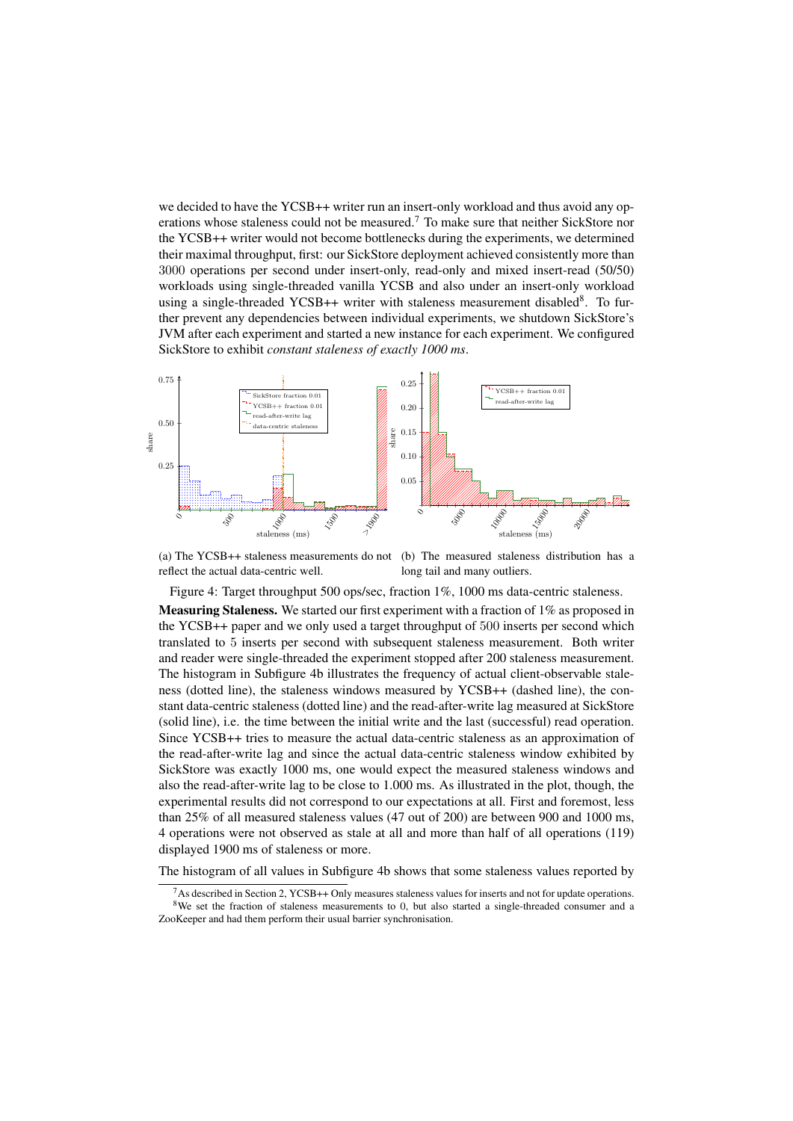we decided to have the YCSB++ writer run an insert-only workload and thus avoid any operations whose staleness could not be measured.<sup>7</sup> To make sure that neither SickStore nor the YCSB++ writer would not become bottlenecks during the experiments, we determined their maximal throughput, first: our SickStore deployment achieved consistently more than 3000 operations per second under insert-only, read-only and mixed insert-read (50/50) workloads using single-threaded vanilla YCSB and also under an insert-only workload using a single-threaded YCSB++ writer with staleness measurement disabled<sup>8</sup>. To further prevent any dependencies between individual experiments, we shutdown SickStore's JVM after each experiment and started a new instance for each experiment. We configured SickStore to exhibit *constant staleness of exactly 1000 ms*.



(a) The YCSB++ staleness measurements do not reflect the actual data-centric well. (b) The measured staleness distribution has a long tail and many outliers.

Figure 4: Target throughput 500 ops/sec, fraction 1%, 1000 ms data-centric staleness.

Measuring Staleness. We started our first experiment with a fraction of 1% as proposed in the YCSB++ paper and we only used a target throughput of 500 inserts per second which translated to 5 inserts per second with subsequent staleness measurement. Both writer and reader were single-threaded the experiment stopped after 200 staleness measurement. The histogram in Subfigure 4b illustrates the frequency of actual client-observable staleness (dotted line), the staleness windows measured by YCSB++ (dashed line), the constant data-centric staleness (dotted line) and the read-after-write lag measured at SickStore (solid line), i.e. the time between the initial write and the last (successful) read operation. Since YCSB++ tries to measure the actual data-centric staleness as an approximation of the read-after-write lag and since the actual data-centric staleness window exhibited by SickStore was exactly 1000 ms, one would expect the measured staleness windows and also the read-after-write lag to be close to 1.000 ms. As illustrated in the plot, though, the experimental results did not correspond to our expectations at all. First and foremost, less than 25% of all measured staleness values (47 out of 200) are between 900 and 1000 ms, 4 operations were not observed as stale at all and more than half of all operations (119) displayed 1900 ms of staleness or more.

The histogram of all values in Subfigure 4b shows that some staleness values reported by

 $^7$ As described in Section 2, YCSB++ Only measures staleness values for inserts and not for update operations. <sup>8</sup>We set the fraction of staleness measurements to 0, but also started a single-threaded consumer and a

ZooKeeper and had them perform their usual barrier synchronisation.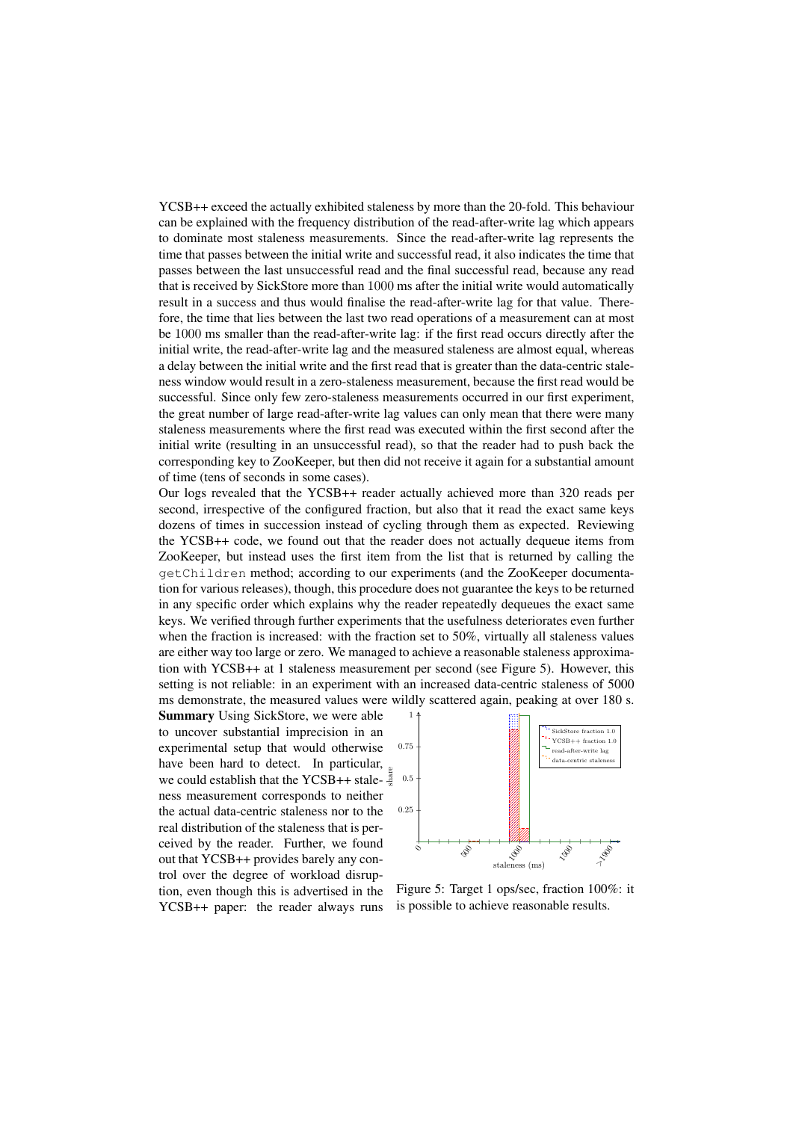YCSB++ exceed the actually exhibited staleness by more than the 20-fold. This behaviour can be explained with the frequency distribution of the read-after-write lag which appears to dominate most staleness measurements. Since the read-after-write lag represents the time that passes between the initial write and successful read, it also indicates the time that passes between the last unsuccessful read and the final successful read, because any read that is received by SickStore more than 1000 ms after the initial write would automatically result in a success and thus would finalise the read-after-write lag for that value. Therefore, the time that lies between the last two read operations of a measurement can at most be 1000 ms smaller than the read-after-write lag: if the first read occurs directly after the initial write, the read-after-write lag and the measured staleness are almost equal, whereas a delay between the initial write and the first read that is greater than the data-centric staleness window would result in a zero-staleness measurement, because the first read would be successful. Since only few zero-staleness measurements occurred in our first experiment, the great number of large read-after-write lag values can only mean that there were many staleness measurements where the first read was executed within the first second after the initial write (resulting in an unsuccessful read), so that the reader had to push back the corresponding key to ZooKeeper, but then did not receive it again for a substantial amount of time (tens of seconds in some cases).

Our logs revealed that the YCSB++ reader actually achieved more than 320 reads per second, irrespective of the configured fraction, but also that it read the exact same keys dozens of times in succession instead of cycling through them as expected. Reviewing the YCSB++ code, we found out that the reader does not actually dequeue items from ZooKeeper, but instead uses the first item from the list that is returned by calling the getChildren method; according to our experiments (and the ZooKeeper documentation for various releases), though, this procedure does not guarantee the keys to be returned in any specific order which explains why the reader repeatedly dequeues the exact same keys. We verified through further experiments that the usefulness deteriorates even further when the fraction is increased: with the fraction set to 50%, virtually all staleness values are either way too large or zero. We managed to achieve a reasonable staleness approximation with YCSB++ at 1 staleness measurement per second (see Figure 5). However, this setting is not reliable: in an experiment with an increased data-centric staleness of 5000 ms demonstrate, the measured values were wildly scattered again, peaking at over 180 s.

we could establish that the YCSB++ stale- $\frac{8}{3}$ Summary Using SickStore, we were able to uncover substantial imprecision in an experimental setup that would otherwise have been hard to detect. In particular, ness measurement corresponds to neither the actual data-centric staleness nor to the real distribution of the staleness that is perceived by the reader. Further, we found out that YCSB++ provides barely any control over the degree of workload disruption, even though this is advertised in the YCSB++ paper: the reader always runs



Figure 5: Target 1 ops/sec, fraction 100%: it is possible to achieve reasonable results.